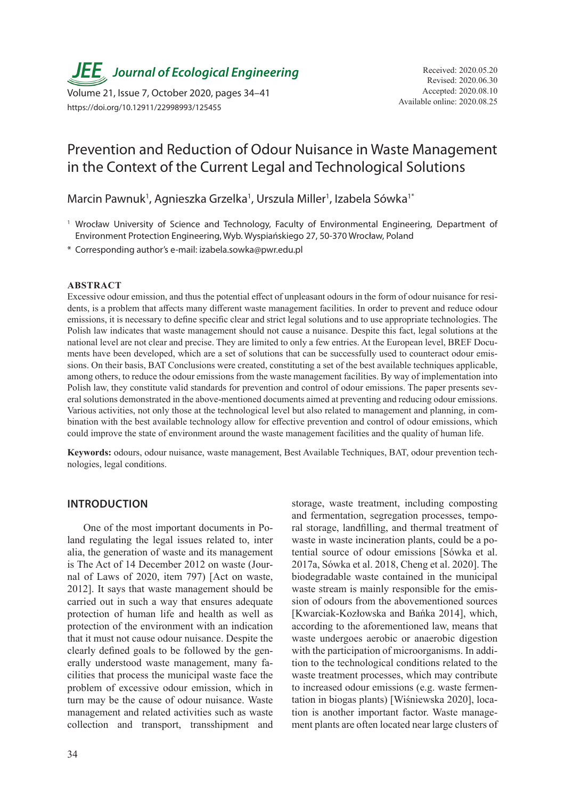*JEE*<sub>,</sub> Journal of Ecological Engineering Received: 2020.05.20

Available online: 2020.08.25 Volume 21, Issue 7, October 2020, pages 34–41 https://doi.org/10.12911/22998993/125455

# Prevention and Reduction of Odour Nuisance in Waste Management in the Context of the Current Legal and Technological Solutions

Marcin Pawnuk<sup>1</sup>, Agnieszka Grzelka<sup>1</sup>, Urszula Miller<sup>1</sup>, Izabela Sówka<sup>1\*</sup>

- <sup>1</sup> Wrocław University of Science and Technology, Faculty of Environmental Engineering, Department of Environment Protection Engineering, Wyb. Wyspiańskiego 27, 50-370 Wrocław, Poland
- \* Corresponding author's e-mail: izabela.sowka@pwr.edu.pl

#### **ABSTRACT**

Excessive odour emission, and thus the potential effect of unpleasant odours in the form of odour nuisance for residents, is a problem that affects many different waste management facilities. In order to prevent and reduce odour emissions, it is necessary to define specific clear and strict legal solutions and to use appropriate technologies. The Polish law indicates that waste management should not cause a nuisance. Despite this fact, legal solutions at the national level are not clear and precise. They are limited to only a few entries. At the European level, BREF Documents have been developed, which are a set of solutions that can be successfully used to counteract odour emissions. On their basis, BAT Conclusions were created, constituting a set of the best available techniques applicable, among others, to reduce the odour emissions from the waste management facilities. By way of implementation into Polish law, they constitute valid standards for prevention and control of odour emissions. The paper presents several solutions demonstrated in the above-mentioned documents aimed at preventing and reducing odour emissions. Various activities, not only those at the technological level but also related to management and planning, in combination with the best available technology allow for effective prevention and control of odour emissions, which could improve the state of environment around the waste management facilities and the quality of human life.

**Keywords:** odours, odour nuisance, waste management, Best Available Techniques, BAT, odour prevention technologies, legal conditions.

#### **INTRODUCTION**

One of the most important documents in Poland regulating the legal issues related to, inter alia, the generation of waste and its management is The Act of 14 December 2012 on waste (Journal of Laws of 2020, item 797) [Act on waste, 2012]. It says that waste management should be carried out in such a way that ensures adequate protection of human life and health as well as protection of the environment with an indication that it must not cause odour nuisance. Despite the clearly defined goals to be followed by the generally understood waste management, many facilities that process the municipal waste face the problem of excessive odour emission, which in turn may be the cause of odour nuisance. Waste management and related activities such as waste collection and transport, transshipment and

storage, waste treatment, including composting and fermentation, segregation processes, temporal storage, landfilling, and thermal treatment of waste in waste incineration plants, could be a potential source of odour emissions [Sówka et al. 2017a, Sówka et al. 2018, Cheng et al. 2020]. The biodegradable waste contained in the municipal waste stream is mainly responsible for the emission of odours from the abovementioned sources [Kwarciak-Kozłowska and Bańka 2014], which, according to the aforementioned law, means that waste undergoes aerobic or anaerobic digestion with the participation of microorganisms. In addition to the technological conditions related to the waste treatment processes, which may contribute to increased odour emissions (e.g. waste fermentation in biogas plants) [Wiśniewska 2020], location is another important factor. Waste management plants are often located near large clusters of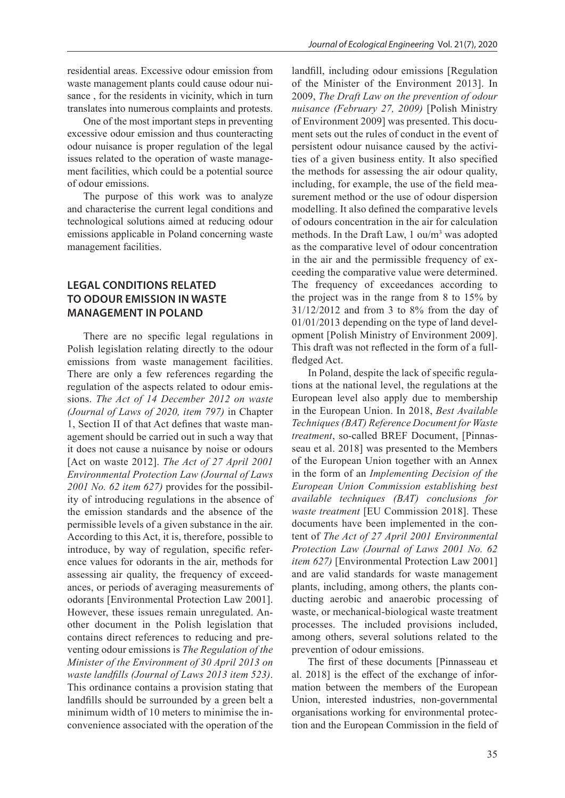residential areas. Excessive odour emission from waste management plants could cause odour nuisance , for the residents in vicinity, which in turn translates into numerous complaints and protests.

One of the most important steps in preventing excessive odour emission and thus counteracting odour nuisance is proper regulation of the legal issues related to the operation of waste management facilities, which could be a potential source of odour emissions.

The purpose of this work was to analyze and characterise the current legal conditions and technological solutions aimed at reducing odour emissions applicable in Poland concerning waste management facilities.

## **LEGAL CONDITIONS RELATED TO ODOUR EMISSION IN WASTE MANAGEMENT IN POLAND**

There are no specific legal regulations in Polish legislation relating directly to the odour emissions from waste management facilities. There are only a few references regarding the regulation of the aspects related to odour emissions. *The Act of 14 December 2012 on waste (Journal of Laws of 2020, item 797)* in Chapter 1, Section II of that Act defines that waste management should be carried out in such a way that it does not cause a nuisance by noise or odours [Act on waste 2012]. *The Act of 27 April 2001 Environmental Protection Law (Journal of Laws 2001 No. 62 item 627)* provides for the possibility of introducing regulations in the absence of the emission standards and the absence of the permissible levels of a given substance in the air. According to this Act, it is, therefore, possible to introduce, by way of regulation, specific reference values for odorants in the air, methods for assessing air quality, the frequency of exceedances, or periods of averaging measurements of odorants [Environmental Protection Law 2001]. However, these issues remain unregulated. Another document in the Polish legislation that contains direct references to reducing and preventing odour emissions is *The Regulation of the Minister of the Environment of 30 April 2013 on waste landfills (Journal of Laws 2013 item 523)*. This ordinance contains a provision stating that landfills should be surrounded by a green belt a minimum width of 10 meters to minimise the inconvenience associated with the operation of the

landfill, including odour emissions [Regulation of the Minister of the Environment 2013]. In 2009, *The Draft Law on the prevention of odour nuisance (February 27, 2009)* [Polish Ministry of Environment 2009] was presented. This document sets out the rules of conduct in the event of persistent odour nuisance caused by the activities of a given business entity. It also specified the methods for assessing the air odour quality, including, for example, the use of the field measurement method or the use of odour dispersion modelling. It also defined the comparative levels of odours concentration in the air for calculation methods. In the Draft Law, 1 ou/m<sup>3</sup> was adopted as the comparative level of odour concentration in the air and the permissible frequency of exceeding the comparative value were determined. The frequency of exceedances according to the project was in the range from 8 to 15% by 31/12/2012 and from 3 to 8% from the day of 01/01/2013 depending on the type of land development [Polish Ministry of Environment 2009]. This draft was not reflected in the form of a fullfledged Act.

In Poland, despite the lack of specific regulations at the national level, the regulations at the European level also apply due to membership in the European Union. In 2018, *Best Available Techniques (BAT) Reference Document for Waste treatment*, so-called BREF Document, [Pinnasseau et al. 2018] was presented to the Members of the European Union together with an Annex in the form of an *Implementing Decision of the European Union Commission establishing best available techniques (BAT) conclusions for waste treatment* [EU Commission 2018]. These documents have been implemented in the content of *The Act of 27 April 2001 Environmental Protection Law (Journal of Laws 2001 No. 62 item 627)* [Environmental Protection Law 2001] and are valid standards for waste management plants, including, among others, the plants conducting aerobic and anaerobic processing of waste, or mechanical-biological waste treatment processes. The included provisions included, among others, several solutions related to the prevention of odour emissions.

The first of these documents [Pinnasseau et al. 2018] is the effect of the exchange of information between the members of the European Union, interested industries, non-governmental organisations working for environmental protection and the European Commission in the field of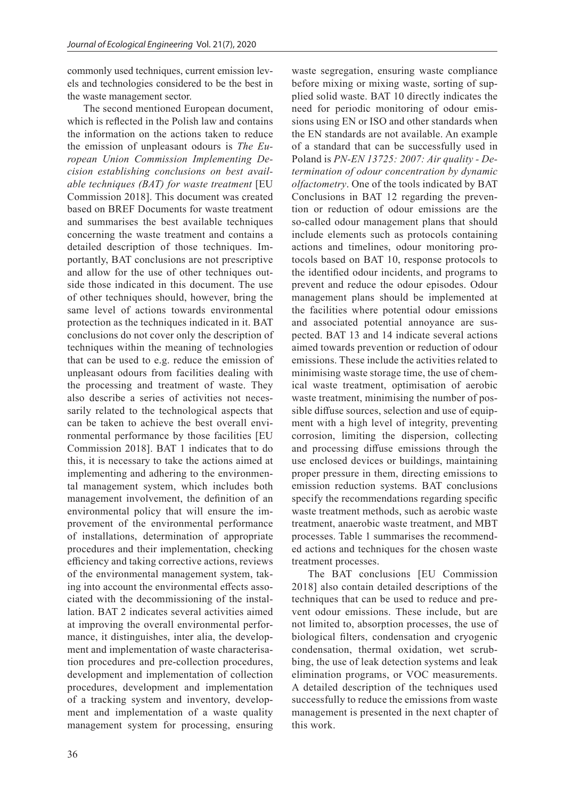commonly used techniques, current emission levels and technologies considered to be the best in the waste management sector.

The second mentioned European document, which is reflected in the Polish law and contains the information on the actions taken to reduce the emission of unpleasant odours is *The European Union Commission Implementing Decision establishing conclusions on best available techniques (BAT) for waste treatment* [EU Commission 2018]. This document was created based on BREF Documents for waste treatment and summarises the best available techniques concerning the waste treatment and contains a detailed description of those techniques. Importantly, BAT conclusions are not prescriptive and allow for the use of other techniques outside those indicated in this document. The use of other techniques should, however, bring the same level of actions towards environmental protection as the techniques indicated in it. BAT conclusions do not cover only the description of techniques within the meaning of technologies that can be used to e.g. reduce the emission of unpleasant odours from facilities dealing with the processing and treatment of waste. They also describe a series of activities not necessarily related to the technological aspects that can be taken to achieve the best overall environmental performance by those facilities [EU Commission 2018]. BAT 1 indicates that to do this, it is necessary to take the actions aimed at implementing and adhering to the environmental management system, which includes both management involvement, the definition of an environmental policy that will ensure the improvement of the environmental performance of installations, determination of appropriate procedures and their implementation, checking efficiency and taking corrective actions, reviews of the environmental management system, taking into account the environmental effects associated with the decommissioning of the installation. BAT 2 indicates several activities aimed at improving the overall environmental performance, it distinguishes, inter alia, the development and implementation of waste characterisation procedures and pre-collection procedures, development and implementation of collection procedures, development and implementation of a tracking system and inventory, development and implementation of a waste quality management system for processing, ensuring

waste segregation, ensuring waste compliance before mixing or mixing waste, sorting of supplied solid waste. BAT 10 directly indicates the need for periodic monitoring of odour emissions using EN or ISO and other standards when the EN standards are not available. An example of a standard that can be successfully used in Poland is *PN-EN 13725: 2007: Air quality - Determination of odour concentration by dynamic olfactometry*. One of the tools indicated by BAT Conclusions in BAT 12 regarding the prevention or reduction of odour emissions are the so-called odour management plans that should include elements such as protocols containing actions and timelines, odour monitoring protocols based on BAT 10, response protocols to the identified odour incidents, and programs to prevent and reduce the odour episodes. Odour management plans should be implemented at the facilities where potential odour emissions and associated potential annoyance are suspected. BAT 13 and 14 indicate several actions aimed towards prevention or reduction of odour emissions. These include the activities related to minimising waste storage time, the use of chemical waste treatment, optimisation of aerobic waste treatment, minimising the number of possible diffuse sources, selection and use of equipment with a high level of integrity, preventing corrosion, limiting the dispersion, collecting and processing diffuse emissions through the use enclosed devices or buildings, maintaining proper pressure in them, directing emissions to emission reduction systems. BAT conclusions specify the recommendations regarding specific waste treatment methods, such as aerobic waste treatment, anaerobic waste treatment, and MBT processes. Table 1 summarises the recommended actions and techniques for the chosen waste treatment processes.

The BAT conclusions [EU Commission 2018] also contain detailed descriptions of the techniques that can be used to reduce and prevent odour emissions. These include, but are not limited to, absorption processes, the use of biological filters, condensation and cryogenic condensation, thermal oxidation, wet scrubbing, the use of leak detection systems and leak elimination programs, or VOC measurements. A detailed description of the techniques used successfully to reduce the emissions from waste management is presented in the next chapter of this work.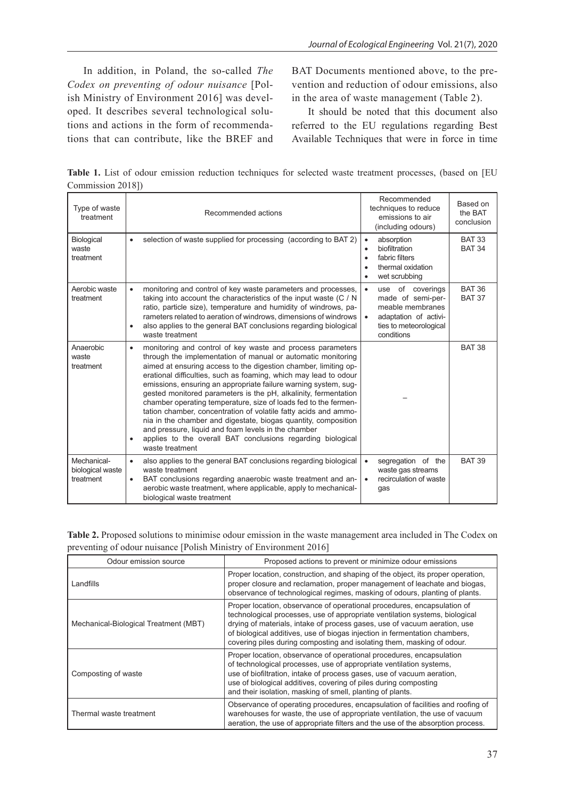In addition, in Poland, the so-called *The Codex on preventing of odour nuisance* [Polish Ministry of Environment 2016] was developed. It describes several technological solutions and actions in the form of recommendations that can contribute, like the BREF and BAT Documents mentioned above, to the prevention and reduction of odour emissions, also in the area of waste management (Table 2).

It should be noted that this document also referred to the EU regulations regarding Best Available Techniques that were in force in time

**Table 1.** List of odour emission reduction techniques for selected waste treatment processes, (based on [EU Commission 2018])

| Type of waste<br>treatment                   | Recommended actions                                                                                                                                                                                                                                                                                                                                                                                                                                                                                                                                                                                                                                                                                                                                                                | Recommended<br>techniques to reduce<br>emissions to air<br>(including odours)                                                                        | Based on<br>the BAT<br>conclusion |
|----------------------------------------------|------------------------------------------------------------------------------------------------------------------------------------------------------------------------------------------------------------------------------------------------------------------------------------------------------------------------------------------------------------------------------------------------------------------------------------------------------------------------------------------------------------------------------------------------------------------------------------------------------------------------------------------------------------------------------------------------------------------------------------------------------------------------------------|------------------------------------------------------------------------------------------------------------------------------------------------------|-----------------------------------|
| Biological<br>waste<br>treatment             | selection of waste supplied for processing (according to BAT 2)<br>$\bullet$                                                                                                                                                                                                                                                                                                                                                                                                                                                                                                                                                                                                                                                                                                       | absorption<br>$\bullet$<br>biofiltration<br>$\bullet$<br>fabric filters<br>$\bullet$<br>thermal oxidation<br>$\bullet$<br>wet scrubbing<br>$\bullet$ | <b>BAT 33</b><br><b>BAT 34</b>    |
| Aerobic waste<br>treatment                   | monitoring and control of key waste parameters and processes,<br>$\bullet$<br>taking into account the characteristics of the input waste (C / N<br>ratio, particle size), temperature and humidity of windrows, pa-<br>rameters related to aeration of windrows, dimensions of windrows<br>also applies to the general BAT conclusions regarding biological<br>$\bullet$<br>waste treatment                                                                                                                                                                                                                                                                                                                                                                                        | use of coverings<br>$\bullet$<br>made of semi-per-<br>meable membranes<br>adaptation of activi-<br>$\bullet$<br>ties to meteorological<br>conditions | <b>BAT 36</b><br><b>BAT 37</b>    |
| Anaerobic<br>waste<br>treatment              | monitoring and control of key waste and process parameters<br>$\bullet$<br>through the implementation of manual or automatic monitoring<br>aimed at ensuring access to the digestion chamber, limiting op-<br>erational difficulties, such as foaming, which may lead to odour<br>emissions, ensuring an appropriate failure warning system, sug-<br>gested monitored parameters is the pH, alkalinity, fermentation<br>chamber operating temperature, size of loads fed to the fermen-<br>tation chamber, concentration of volatile fatty acids and ammo-<br>nia in the chamber and digestate, biogas quantity, composition<br>and pressure, liquid and foam levels in the chamber<br>applies to the overall BAT conclusions regarding biological<br>$\bullet$<br>waste treatment |                                                                                                                                                      | <b>BAT 38</b>                     |
| Mechanical-<br>biological waste<br>treatment | also applies to the general BAT conclusions regarding biological<br>$\bullet$<br>waste treatment<br>BAT conclusions regarding anaerobic waste treatment and an-<br>$\bullet$<br>aerobic waste treatment, where applicable, apply to mechanical-<br>biological waste treatment                                                                                                                                                                                                                                                                                                                                                                                                                                                                                                      | segregation of the<br>$\bullet$<br>waste gas streams<br>recirculation of waste<br>$\bullet$<br>gas                                                   | <b>BAT 39</b>                     |

| Table 2. Proposed solutions to minimise odour emission in the waste management area included in The Codex on |  |
|--------------------------------------------------------------------------------------------------------------|--|
| preventing of odour nuisance [Polish Ministry of Environment 2016]                                           |  |

| Odour emission source                 | Proposed actions to prevent or minimize odour emissions                                                                                                                                                                                                                                                                                                                                     |  |  |
|---------------------------------------|---------------------------------------------------------------------------------------------------------------------------------------------------------------------------------------------------------------------------------------------------------------------------------------------------------------------------------------------------------------------------------------------|--|--|
| Landfills                             | Proper location, construction, and shaping of the object, its proper operation,<br>proper closure and reclamation, proper management of leachate and biogas,<br>observance of technological regimes, masking of odours, planting of plants.                                                                                                                                                 |  |  |
| Mechanical-Biological Treatment (MBT) | Proper location, observance of operational procedures, encapsulation of<br>technological processes, use of appropriate ventilation systems, biological<br>drying of materials, intake of process gases, use of vacuum aeration, use<br>of biological additives, use of biogas injection in fermentation chambers,<br>covering piles during composting and isolating them, masking of odour. |  |  |
| Composting of waste                   | Proper location, observance of operational procedures, encapsulation<br>of technological processes, use of appropriate ventilation systems,<br>use of biofiltration, intake of process gases, use of vacuum aeration,<br>use of biological additives, covering of piles during composting<br>and their isolation, masking of smell, planting of plants.                                     |  |  |
| Thermal waste treatment               | Observance of operating procedures, encapsulation of facilities and roofing of<br>warehouses for waste, the use of appropriate ventilation, the use of vacuum<br>aeration, the use of appropriate filters and the use of the absorption process.                                                                                                                                            |  |  |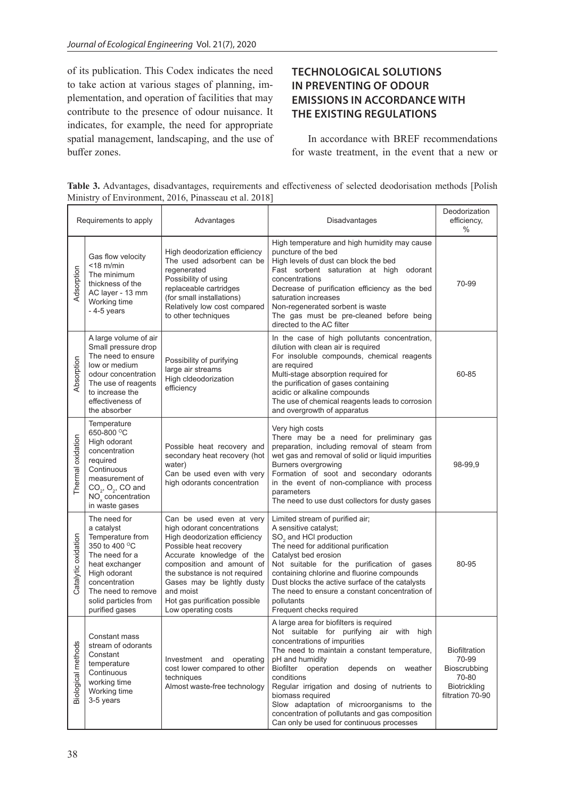of its publication. This Codex indicates the need to take action at various stages of planning, implementation, and operation of facilities that may contribute to the presence of odour nuisance. It indicates, for example, the need for appropriate spatial management, landscaping, and the use of buffer zones.

# **TECHNOLOGICAL SOLUTIONS IN PREVENTING OF ODOUR EMISSIONS IN ACCORDANCE WITH THE EXISTING REGULATIONS**

In accordance with BREF recommendations for waste treatment, in the event that a new or

**Table 3.** Advantages, disadvantages, requirements and effectiveness of selected deodorisation methods [Polish Ministry of Environment, 2016, Pinasseau et al. 2018]

| Requirements to apply |                                                                                                                                                                                                      | Advantages                                                                                                                                                                                                                                                                                                       | Disadvantages                                                                                                                                                                                                                                                                                                                                                                                                                                                         | Deodorization<br>efficiency,<br>$\%$                                                       |
|-----------------------|------------------------------------------------------------------------------------------------------------------------------------------------------------------------------------------------------|------------------------------------------------------------------------------------------------------------------------------------------------------------------------------------------------------------------------------------------------------------------------------------------------------------------|-----------------------------------------------------------------------------------------------------------------------------------------------------------------------------------------------------------------------------------------------------------------------------------------------------------------------------------------------------------------------------------------------------------------------------------------------------------------------|--------------------------------------------------------------------------------------------|
| Adsorption            | Gas flow velocity<br>$<$ 18 m/min<br>The minimum<br>thickness of the<br>AC layer - 13 mm<br>Working time<br>$-4-5$ years                                                                             | High deodorization efficiency<br>The used adsorbent can be<br>regenerated<br>Possibility of using<br>replaceable cartridges<br>(for small installations)<br>Relatively low cost compared<br>to other techniques                                                                                                  | High temperature and high humidity may cause<br>puncture of the bed<br>High levels of dust can block the bed<br>Fast sorbent saturation at high odorant<br>concentrations<br>Decrease of purification efficiency as the bed<br>saturation increases<br>Non-regenerated sorbent is waste<br>The gas must be pre-cleaned before being<br>directed to the AC filter                                                                                                      | 70-99                                                                                      |
| Absorption            | A large volume of air<br>Small pressure drop<br>The need to ensure<br>low or medium<br>odour concentration<br>The use of reagents<br>to increase the<br>effectiveness of<br>the absorber             | Possibility of purifying<br>large air streams<br>High cldeodorization<br>efficiency                                                                                                                                                                                                                              | In the case of high pollutants concentration,<br>dilution with clean air is required<br>For insoluble compounds, chemical reagents<br>are required<br>Multi-stage absorption required for<br>the purification of gases containing<br>acidic or alkaline compounds<br>The use of chemical reagents leads to corrosion<br>and overgrowth of apparatus                                                                                                                   | 60-85                                                                                      |
| Thermal oxidation     | Temperature<br>650-800 °C<br>High odorant<br>concentration<br>required<br>Continuous<br>measurement of<br>$CO2$ , $O2$ , CO and<br>$NO_x$ concentration<br>in waste gases                            | Possible heat recovery and<br>secondary heat recovery (hot<br>water)<br>Can be used even with very<br>high odorants concentration                                                                                                                                                                                | Very high costs<br>There may be a need for preliminary gas<br>preparation, including removal of steam from<br>wet gas and removal of solid or liquid impurities<br><b>Burners overgrowing</b><br>Formation of soot and secondary odorants<br>in the event of non-compliance with process<br>parameters<br>The need to use dust collectors for dusty gases                                                                                                             | 98-99.9                                                                                    |
| Catalytic oxidation   | The need for<br>a catalyst<br>Temperature from<br>350 to 400 °C<br>The need for a<br>heat exchanger<br>High odorant<br>concentration<br>The need to remove<br>solid particles from<br>purified gases | Can be used even at very<br>high odorant concentrations<br>High deodorization efficiency<br>Possible heat recovery<br>Accurate knowledge of the<br>composition and amount of<br>the substance is not required<br>Gases may be lightly dusty<br>and moist<br>Hot gas purification possible<br>Low operating costs | Limited stream of purified air;<br>A sensitive catalyst;<br>SO <sub>2</sub> and HCl production<br>The need for additional purification<br>Catalyst bed erosion<br>Not suitable for the purification of gases<br>containing chlorine and fluorine compounds<br>Dust blocks the active surface of the catalysts<br>The need to ensure a constant concentration of<br>pollutants<br>Frequent checks required                                                             | 80-95                                                                                      |
| Biological methods    | Constant mass<br>stream of odorants<br>Constant<br>temperature<br>Continuous<br>working time<br>Working time<br>3-5 years                                                                            | Investment and<br>operating<br>cost lower compared to other<br>techniques<br>Almost waste-free technology                                                                                                                                                                                                        | A large area for biofilters is required<br>Not suitable for purifying air with high<br>concentrations of impurities<br>The need to maintain a constant temperature,<br>pH and humidity<br>Biofilter operation depends<br>on<br>weather<br>conditions<br>Regular irrigation and dosing of nutrients to<br>biomass required<br>Slow adaptation of microorganisms to the<br>concentration of pollutants and gas composition<br>Can only be used for continuous processes | <b>Biofiltration</b><br>70-99<br>Bioscrubbing<br>70-80<br>Biotrickling<br>filtration 70-90 |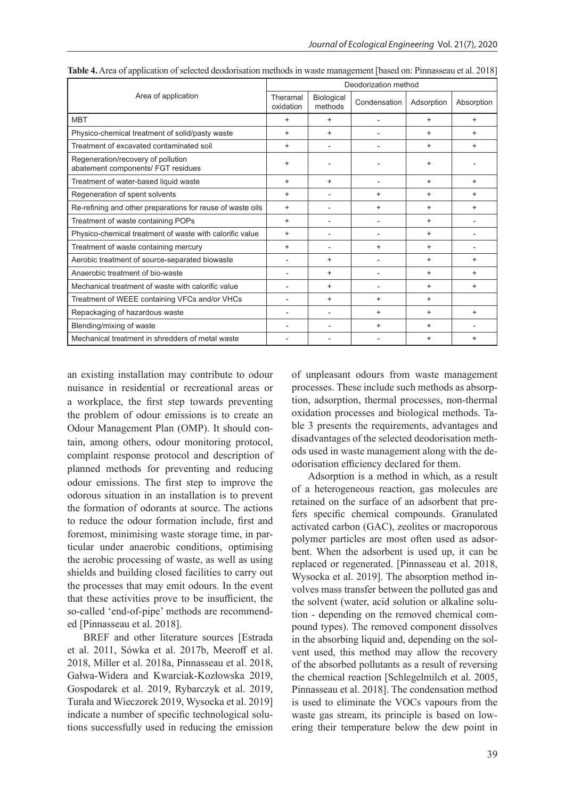|                                                                          | Deodorization method  |                       |              |            |            |
|--------------------------------------------------------------------------|-----------------------|-----------------------|--------------|------------|------------|
| Area of application                                                      | Theramal<br>oxidation | Biological<br>methods | Condensation | Adsorption | Absorption |
| <b>MBT</b>                                                               | $\ddot{}$             | $\ddot{}$             |              | $\ddot{}$  | $+$        |
| Physico-chemical treatment of solid/pasty waste                          | $\ddot{}$             | $\ddot{}$             |              | $\ddot{}$  | ÷          |
| Treatment of excavated contaminated soil                                 | $\ddot{}$             |                       |              | $\ddot{}$  | $+$        |
| Regeneration/recovery of pollution<br>abatement components/ FGT residues | $\ddot{}$             |                       |              | $\ddot{}$  |            |
| Treatment of water-based liquid waste                                    | $\ddot{}$             | $\ddot{}$             |              | $\ddot{}$  | $\ddot{}$  |
| Regeneration of spent solvents                                           | $\ddot{}$             |                       | $\ddot{}$    | $\ddot{}$  | $\ddot{}$  |
| Re-refining and other preparations for reuse of waste oils               | $\ddot{}$             |                       | $\ddot{}$    | $\ddot{}$  | $+$        |
| Treatment of waste containing POPs                                       | $\ddot{}$             |                       |              | $\ddot{}$  |            |
| Physico-chemical treatment of waste with calorific value                 | $\ddot{}$             |                       | ۰            | $\ddot{}$  |            |
| Treatment of waste containing mercury                                    | $\ddot{}$             |                       | $\ddot{}$    | $\ddot{}$  |            |
| Aerobic treatment of source-separated biowaste                           | $\blacksquare$        | $\ddot{}$             |              | $\ddot{}$  | $\ddot{}$  |
| Anaerobic treatment of bio-waste                                         |                       | $\ddot{}$             |              | $\ddot{}$  | $\ddot{}$  |
| Mechanical treatment of waste with calorific value                       |                       | $\ddot{}$             |              | $\ddot{}$  | $\ddot{}$  |
| Treatment of WEEE containing VFCs and/or VHCs                            | $\overline{a}$        | $\ddot{}$             | $\ddot{}$    | $\ddot{}$  |            |
| Repackaging of hazardous waste                                           |                       |                       | $\ddot{}$    | $\ddot{}$  | $\ddot{}$  |
| Blending/mixing of waste                                                 |                       |                       | $\ddot{}$    | $\ddot{}$  |            |
| Mechanical treatment in shredders of metal waste                         |                       |                       |              | $\ddot{}$  | $\ddot{}$  |

**Table 4.** Area of application of selected deodorisation methods in waste management [based on: Pinnasseau et al. 2018]

an existing installation may contribute to odour nuisance in residential or recreational areas or a workplace, the first step towards preventing the problem of odour emissions is to create an Odour Management Plan (OMP). It should contain, among others, odour monitoring protocol, complaint response protocol and description of planned methods for preventing and reducing odour emissions. The first step to improve the odorous situation in an installation is to prevent the formation of odorants at source. The actions to reduce the odour formation include, first and foremost, minimising waste storage time, in particular under anaerobic conditions, optimising the aerobic processing of waste, as well as using shields and building closed facilities to carry out the processes that may emit odours. In the event that these activities prove to be insufficient, the so-called 'end-of-pipe' methods are recommended [Pinnasseau et al. 2018].

BREF and other literature sources [Estrada et al. 2011, Sówka et al. 2017b, Meeroff et al. 2018, Miller et al. 2018a, Pinnasseau et al. 2018, Gałwa-Widera and Kwarciak-Kozłowska 2019, Gospodarek et al. 2019, Rybarczyk et al. 2019, Turała and Wieczorek 2019, Wysocka et al. 2019] indicate a number of specific technological solutions successfully used in reducing the emission of unpleasant odours from waste management processes. These include such methods as absorption, adsorption, thermal processes, non-thermal oxidation processes and biological methods. Table 3 presents the requirements, advantages and disadvantages of the selected deodorisation methods used in waste management along with the deodorisation efficiency declared for them.

Adsorption is a method in which, as a result of a heterogeneous reaction, gas molecules are retained on the surface of an adsorbent that prefers specific chemical compounds. Granulated activated carbon (GAC), zeolites or macroporous polymer particles are most often used as adsorbent. When the adsorbent is used up, it can be replaced or regenerated. [Pinnasseau et al. 2018, Wysocka et al. 2019]. The absorption method involves mass transfer between the polluted gas and the solvent (water, acid solution or alkaline solution - depending on the removed chemical compound types). The removed component dissolves in the absorbing liquid and, depending on the solvent used, this method may allow the recovery of the absorbed pollutants as a result of reversing the chemical reaction [Schlegelmilch et al. 2005, Pinnasseau et al. 2018]. The condensation method is used to eliminate the VOCs vapours from the waste gas stream, its principle is based on lowering their temperature below the dew point in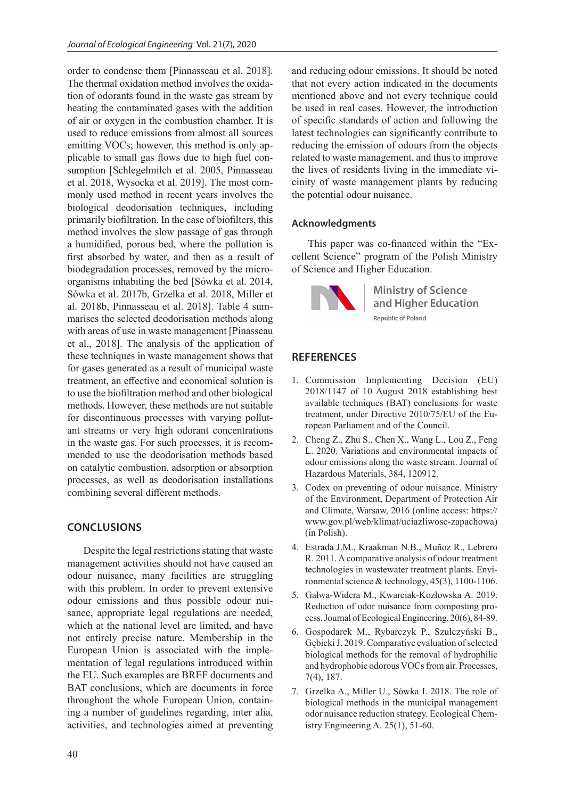order to condense them [Pinnasseau et al. 2018]. The thermal oxidation method involves the oxidation of odorants found in the waste gas stream by heating the contaminated gases with the addition of air or oxygen in the combustion chamber. It is used to reduce emissions from almost all sources emitting VOCs; however, this method is only applicable to small gas flows due to high fuel consumption [Schlegelmilch et al. 2005, Pinnasseau et al. 2018, Wysocka et al. 2019]. The most commonly used method in recent years involves the biological deodorisation techniques, including primarily biofiltration. In the case of biofilters, this method involves the slow passage of gas through a humidified, porous bed, where the pollution is first absorbed by water, and then as a result of biodegradation processes, removed by the microorganisms inhabiting the bed [Sówka et al. 2014, Sówka et al. 2017b, Grzelka et al. 2018, Miller et al. 2018b, Pinnasseau et al. 2018]. Table 4 summarises the selected deodorisation methods along with areas of use in waste management [Pinasseau et al., 2018]. The analysis of the application of these techniques in waste management shows that for gases generated as a result of municipal waste treatment, an effective and economical solution is to use the biofiltration method and other biological methods. However, these methods are not suitable for discontinuous processes with varying pollutant streams or very high odorant concentrations in the waste gas. For such processes, it is recommended to use the deodorisation methods based on catalytic combustion, adsorption or absorption processes, as well as deodorisation installations combining several different methods.

## **CONCLUSIONS**

Despite the legal restrictions stating that waste management activities should not have caused an odour nuisance, many facilities are struggling with this problem. In order to prevent extensive odour emissions and thus possible odour nuisance, appropriate legal regulations are needed, which at the national level are limited, and have not entirely precise nature. Membership in the European Union is associated with the implementation of legal regulations introduced within the EU. Such examples are BREF documents and BAT conclusions, which are documents in force throughout the whole European Union, containing a number of guidelines regarding, inter alia, activities, and technologies aimed at preventing

and reducing odour emissions. It should be noted that not every action indicated in the documents mentioned above and not every technique could be used in real cases. However, the introduction of specific standards of action and following the latest technologies can significantly contribute to reducing the emission of odours from the objects related to waste management, and thus to improve the lives of residents living in the immediate vicinity of waste management plants by reducing the potential odour nuisance.

#### **Acknowledgments**

This paper was co-financed within the "Excellent Science" program of the Polish Ministry of Science and Higher Education.



**Ministry of Science** and Higher Education **Republic of Poland** 

## **REFERENCES**

- 1. Commission Implementing Decision (EU) 2018/1147 of 10 August 2018 establishing best available techniques (BAT) conclusions for waste treatment, under Directive 2010/75/EU of the European Parliament and of the Council.
- 2. Cheng Z., Zhu S., Chen X., Wang L., Lou Z., Feng L. 2020. Variations and environmental impacts of odour emissions along the waste stream. Journal of Hazardous Materials, 384, 120912.
- 3. Codex on preventing of odour nuisance. Ministry of the Environment, Department of Protection Air and Climate, Warsaw, 2016 (online access: https:// www.gov.pl/web/klimat/uciazliwosc-zapachowa) (in Polish).
- 4. Estrada J.M., Kraakman N.B., Muñoz R., Lebrero R. 2011. A comparative analysis of odour treatment technologies in wastewater treatment plants. Environmental science & technology, 45(3), 1100-1106.
- 5. Gałwa-Widera M., Kwarciak-Kozłowska A. 2019. Reduction of odor nuisance from composting process. Journal of Ecological Engineering, 20(6), 84-89.
- 6. Gospodarek M., Rybarczyk P., Szulczyński B., Gębicki J. 2019. Comparative evaluation of selected biological methods for the removal of hydrophilic and hydrophobic odorous VOCs from air. Processes, 7(4), 187.
- 7. Grzelka A., Miller U., Sówka I. 2018. The role of biological methods in the municipal management odor nuisance reduction strategy. Ecological Chemistry Engineering A. 25(1), 51-60.